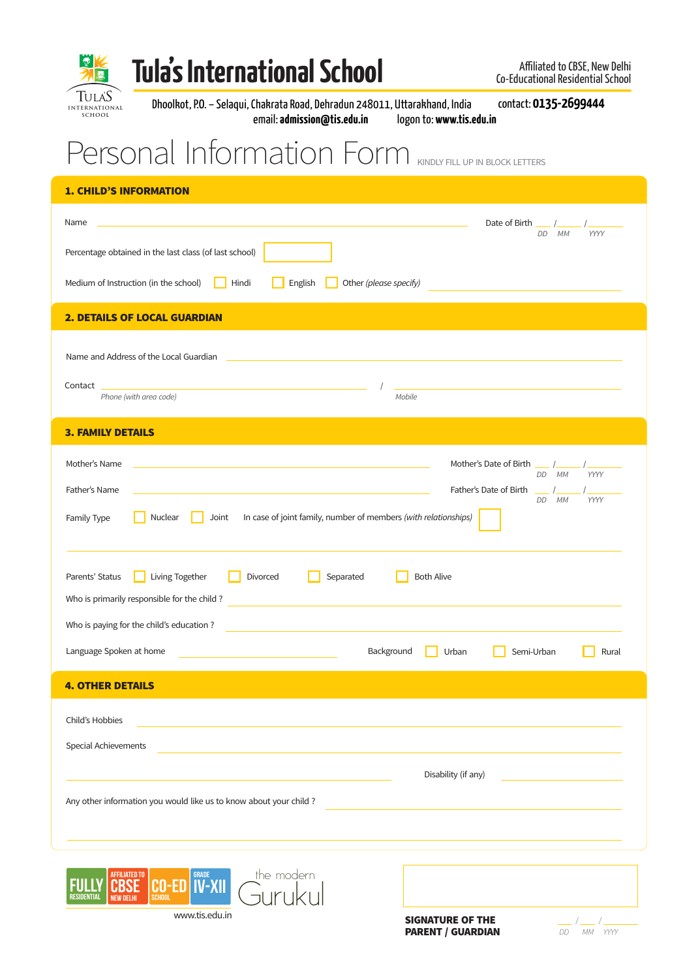

## Tula's International School **Affiliated to CBSE, New Delhi**

www.tis.edu.in

Dhoolkot, P.O. – Selaqui, Chakrata Road, Dehradun 248011, Uttarakhand, India contact: **0135-2699444** email: **admission@tis.edu.in** logon to: **www.tis.edu.in**

## Personal Information Form KINDLY FILL UP IN BLOCK LETTERS

| <b>1. CHILD'S INFORMATION</b>                                                                                                                                                                                                                                                                                                                                                                                                                                                        |  |  |  |  |  |  |
|--------------------------------------------------------------------------------------------------------------------------------------------------------------------------------------------------------------------------------------------------------------------------------------------------------------------------------------------------------------------------------------------------------------------------------------------------------------------------------------|--|--|--|--|--|--|
| $\mathcal{L}(\mathcal{L}(\mathcal{L}(\mathcal{L}(\mathcal{L}(\mathcal{L}(\mathcal{L}(\mathcal{L}(\mathcal{L}(\mathcal{L}(\mathcal{L}(\mathcal{L}(\mathcal{L}(\mathcal{L}(\mathcal{L}(\mathcal{L}(\mathcal{L}(\mathcal{L}(\mathcal{L}(\mathcal{L}(\mathcal{L}(\mathcal{L}(\mathcal{L}(\mathcal{L}(\mathcal{L}(\mathcal{L}(\mathcal{L}(\mathcal{L}(\mathcal{L}(\mathcal{L}(\mathcal{L}(\mathcal{L}(\mathcal{L}(\mathcal{L}(\mathcal{L}(\mathcal{L}(\mathcal{$<br>Date of Birth<br>Name |  |  |  |  |  |  |
| DD<br>МM<br><b>YYYY</b><br>Percentage obtained in the last class (of last school)                                                                                                                                                                                                                                                                                                                                                                                                    |  |  |  |  |  |  |
| Medium of Instruction (in the school)<br>Hindi<br>Other (please specify)<br>English                                                                                                                                                                                                                                                                                                                                                                                                  |  |  |  |  |  |  |
| <b>2. DETAILS OF LOCAL GUARDIAN</b>                                                                                                                                                                                                                                                                                                                                                                                                                                                  |  |  |  |  |  |  |
|                                                                                                                                                                                                                                                                                                                                                                                                                                                                                      |  |  |  |  |  |  |
| Name and Address of the Local Guardian<br><u> 1989 - Johann Barbara, martxa eta batarra (h. 1989).</u>                                                                                                                                                                                                                                                                                                                                                                               |  |  |  |  |  |  |
| Contact<br><u> 1980 - Johann Stein, marwolaethau (b. 1980)</u><br><u> 1980 - Jan Salaman Salaman (j. 1980)</u><br>Phone (with area code)<br>Mobile                                                                                                                                                                                                                                                                                                                                   |  |  |  |  |  |  |
|                                                                                                                                                                                                                                                                                                                                                                                                                                                                                      |  |  |  |  |  |  |
| <b>3. FAMILY DETAILS</b>                                                                                                                                                                                                                                                                                                                                                                                                                                                             |  |  |  |  |  |  |
| Mother's Name<br>Mother's Date of Birth ___ /<br>and the control of the control of the control of the control of the control of the control of the control of the<br>DD MM<br>YYYY                                                                                                                                                                                                                                                                                                   |  |  |  |  |  |  |
| Father's Name<br>Father's Date of Birth<br><u> 1989 - Andrea Stadt Britain, amerikansk politik (* 1908)</u><br>DD MM<br><b>YYYY</b>                                                                                                                                                                                                                                                                                                                                                  |  |  |  |  |  |  |
| Nuclear<br>In case of joint family, number of members (with relationships)<br>Joint<br>Family Type                                                                                                                                                                                                                                                                                                                                                                                   |  |  |  |  |  |  |
|                                                                                                                                                                                                                                                                                                                                                                                                                                                                                      |  |  |  |  |  |  |
| <b>Both Alive</b><br>Parents' Status<br>Living Together<br>Divorced<br>Separated                                                                                                                                                                                                                                                                                                                                                                                                     |  |  |  |  |  |  |
| Who is primarily responsible for the child?<br>,我们也不能在这里的时候,我们也不能在这里的时候,我们也不能会在这里的时候,我们也不能会在这里的时候,我们也不能会在这里的时候,我们也不能会在这里的时候,我们也                                                                                                                                                                                                                                                                                                                                                      |  |  |  |  |  |  |
| Who is paying for the child's education?<br><u> 1980 - Johann Stein, marwolaethau (b. 1980)</u>                                                                                                                                                                                                                                                                                                                                                                                      |  |  |  |  |  |  |
| Language Spoken at home<br>Background<br>Urban<br>Semi-Urban<br>Rural<br><u> 1989 - Johann Stein, mars an deus Amerikaansk kommunister (</u>                                                                                                                                                                                                                                                                                                                                         |  |  |  |  |  |  |
| <b>4. OTHER DETAILS</b>                                                                                                                                                                                                                                                                                                                                                                                                                                                              |  |  |  |  |  |  |
| Child's Hobbies                                                                                                                                                                                                                                                                                                                                                                                                                                                                      |  |  |  |  |  |  |
| Special Achievements                                                                                                                                                                                                                                                                                                                                                                                                                                                                 |  |  |  |  |  |  |
|                                                                                                                                                                                                                                                                                                                                                                                                                                                                                      |  |  |  |  |  |  |
| Disability (if any)                                                                                                                                                                                                                                                                                                                                                                                                                                                                  |  |  |  |  |  |  |
| Any other information you would like us to know about your child?                                                                                                                                                                                                                                                                                                                                                                                                                    |  |  |  |  |  |  |
|                                                                                                                                                                                                                                                                                                                                                                                                                                                                                      |  |  |  |  |  |  |
| the modern<br><b>AFFILIATED TO</b>                                                                                                                                                                                                                                                                                                                                                                                                                                                   |  |  |  |  |  |  |
| <b>CO-ED IV-XII</b><br><b>SCHOOL</b><br>RESIDENTIAL<br><b>NEW DELHI</b>                                                                                                                                                                                                                                                                                                                                                                                                              |  |  |  |  |  |  |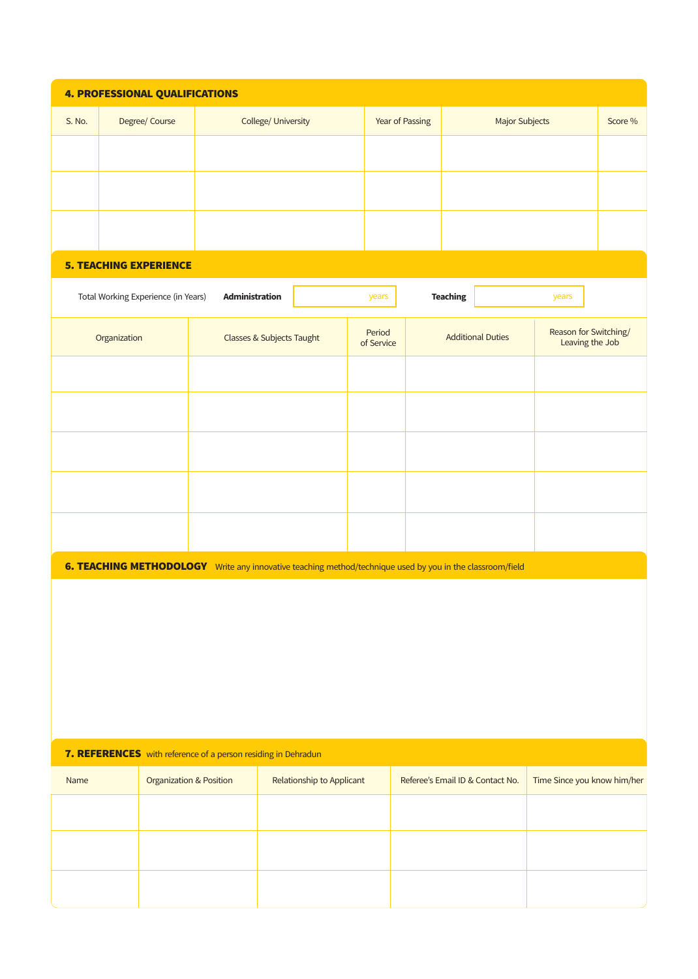| <b>4. PROFESSIONAL QUALIFICATIONS</b>                                                                               |                                     |                                    |                           |                      |                                  |  |                                          |  |
|---------------------------------------------------------------------------------------------------------------------|-------------------------------------|------------------------------------|---------------------------|----------------------|----------------------------------|--|------------------------------------------|--|
| S. No.                                                                                                              | Degree/ Course                      | College/ University                | Year of Passing           |                      | <b>Major Subjects</b>            |  | Score %                                  |  |
|                                                                                                                     |                                     |                                    |                           |                      |                                  |  |                                          |  |
|                                                                                                                     |                                     |                                    |                           |                      |                                  |  |                                          |  |
|                                                                                                                     |                                     |                                    |                           |                      |                                  |  |                                          |  |
|                                                                                                                     |                                     |                                    |                           |                      |                                  |  |                                          |  |
| <b>5. TEACHING EXPERIENCE</b>                                                                                       |                                     |                                    |                           |                      |                                  |  |                                          |  |
|                                                                                                                     | Total Working Experience (in Years) | Administration                     |                           | years                | <b>Teaching</b>                  |  | years                                    |  |
| Organization                                                                                                        |                                     | Classes & Subjects Taught          |                           | Period<br>of Service | <b>Additional Duties</b>         |  | Reason for Switching/<br>Leaving the Job |  |
|                                                                                                                     |                                     |                                    |                           |                      |                                  |  |                                          |  |
|                                                                                                                     |                                     |                                    |                           |                      |                                  |  |                                          |  |
|                                                                                                                     |                                     |                                    |                           |                      |                                  |  |                                          |  |
|                                                                                                                     |                                     |                                    |                           |                      |                                  |  |                                          |  |
|                                                                                                                     |                                     |                                    |                           |                      |                                  |  |                                          |  |
|                                                                                                                     |                                     |                                    |                           |                      |                                  |  |                                          |  |
| <b>6. TEACHING METHODOLOGY</b><br>Write any innovative teaching method/technique used by you in the classroom/field |                                     |                                    |                           |                      |                                  |  |                                          |  |
|                                                                                                                     |                                     |                                    |                           |                      |                                  |  |                                          |  |
|                                                                                                                     |                                     |                                    |                           |                      |                                  |  |                                          |  |
|                                                                                                                     |                                     |                                    |                           |                      |                                  |  |                                          |  |
|                                                                                                                     |                                     |                                    |                           |                      |                                  |  |                                          |  |
|                                                                                                                     |                                     |                                    |                           |                      |                                  |  |                                          |  |
| 7. REFERENCES with reference of a person residing in Dehradun                                                       |                                     |                                    |                           |                      |                                  |  |                                          |  |
| Name                                                                                                                |                                     | <b>Organization &amp; Position</b> | Relationship to Applicant |                      | Referee's Email ID & Contact No. |  | Time Since you know him/her              |  |
|                                                                                                                     |                                     |                                    |                           |                      |                                  |  |                                          |  |
|                                                                                                                     |                                     |                                    |                           |                      |                                  |  |                                          |  |
|                                                                                                                     |                                     |                                    |                           |                      |                                  |  |                                          |  |
|                                                                                                                     |                                     |                                    |                           |                      |                                  |  |                                          |  |